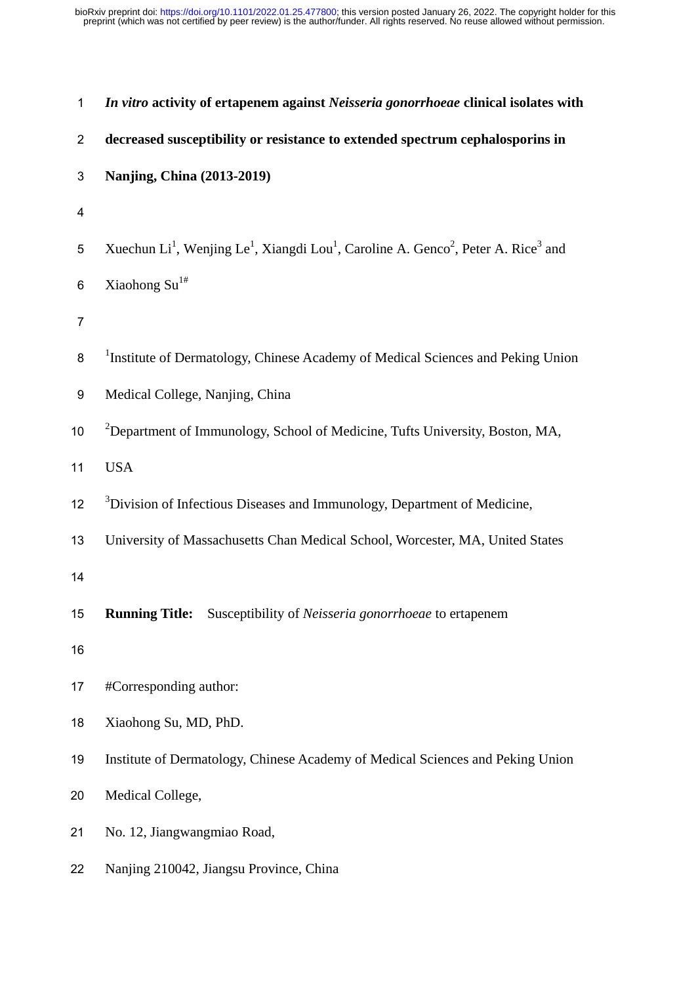| $\mathbf 1$    | In vitro activity of ertapenem against Neisseria gonorrhoeae clinical isolates with                                                            |
|----------------|------------------------------------------------------------------------------------------------------------------------------------------------|
| $\overline{2}$ | decreased susceptibility or resistance to extended spectrum cephalosporins in                                                                  |
| 3              | Nanjing, China (2013-2019)                                                                                                                     |
| 4              |                                                                                                                                                |
| 5              | Xuechun Li <sup>1</sup> , Wenjing Le <sup>1</sup> , Xiangdi Lou <sup>1</sup> , Caroline A. Genco <sup>2</sup> , Peter A. Rice <sup>3</sup> and |
| 6              | Xiaohong Su <sup>1#</sup>                                                                                                                      |
| $\overline{7}$ |                                                                                                                                                |
| 8              | <sup>1</sup> Institute of Dermatology, Chinese Academy of Medical Sciences and Peking Union                                                    |
| 9              | Medical College, Nanjing, China                                                                                                                |
| 10             | <sup>2</sup> Department of Immunology, School of Medicine, Tufts University, Boston, MA,                                                       |
| 11             | <b>USA</b>                                                                                                                                     |
| 12             | <sup>3</sup> Division of Infectious Diseases and Immunology, Department of Medicine,                                                           |
| 13             | University of Massachusetts Chan Medical School, Worcester, MA, United States                                                                  |
| 14             |                                                                                                                                                |
| 15             | <b>Running Title:</b><br>Susceptibility of Neisseria gonorrhoeae to ertapenem                                                                  |
| 16             |                                                                                                                                                |
| 17             | #Corresponding author:                                                                                                                         |
| 18             | Xiaohong Su, MD, PhD.                                                                                                                          |
| 19             | Institute of Dermatology, Chinese Academy of Medical Sciences and Peking Union                                                                 |
| 20             | Medical College,                                                                                                                               |
| 21             | No. 12, Jiangwangmiao Road,                                                                                                                    |
| 22             | Nanjing 210042, Jiangsu Province, China                                                                                                        |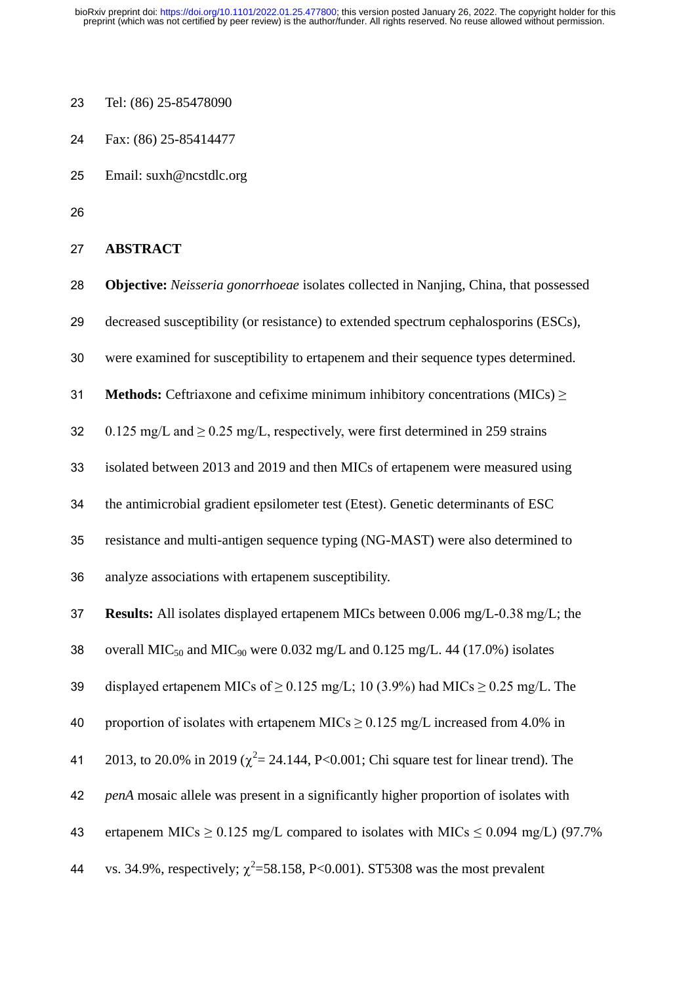- Tel: (86) 25-85478090
- Fax: (86) 25-85414477
- Email: [suxh@ncstdlc.org](mailto:suxh@ncstdlc.org))
- 

```
27 ABSTRACT
```
**Objective:** *Neisseria gonorrhoeae* isolates collected in Nanjing, China, that possessed

decreased susceptibility (or resistance) to extended spectrum cephalosporins (ESCs),

- were examined for susceptibility to ertapenem and their sequence types determined.
- **Methods:** Ceftriaxone and cefixime minimum inhibitory concentrations (MICs) ≥

32 0.125 mg/L and > 0.25 mg/L, respectively, were first determined in 259 strains

- isolated between 2013 and 2019 and then MICs of ertapenem were measured using
- the antimicrobial gradient epsilometer test (Etest). Genetic determinants of ESC
- resistance and multi-antigen sequence typing (NG-MAST) were also determined to
- analyze associations with ertapenem susceptibility.

**Results:** All isolates displayed ertapenem MICs between 0.006 mg/L-0.38 mg/L; the

38 overall MIC<sub>50</sub> and MIC<sub>90</sub> were 0.032 mg/L and 0.125 mg/L. 44 (17.0%) isolates

39 displayed ertapenem MICs of  $\geq$  0.125 mg/L; 10 (3.9%) had MICs  $\geq$  0.25 mg/L. The

40 proportion of isolates with ertapenem MICs  $> 0.125$  mg/L increased from 4.0% in

41 2013, to 20.0% in 2019 ( $\chi^2$  = 24.144, P<0.001; Chi square test for linear trend). The

- *penA* mosaic allele was present in a significantly higher proportion of isolates with
- 43 ertapenem MICs  $\geq 0.125$  mg/L compared to isolates with MICs  $\leq 0.094$  mg/L) (97.7%
- 44 vs. 34.9%, respectively;  $\chi^2$ =58.158, P<0.001). ST5308 was the most prevalent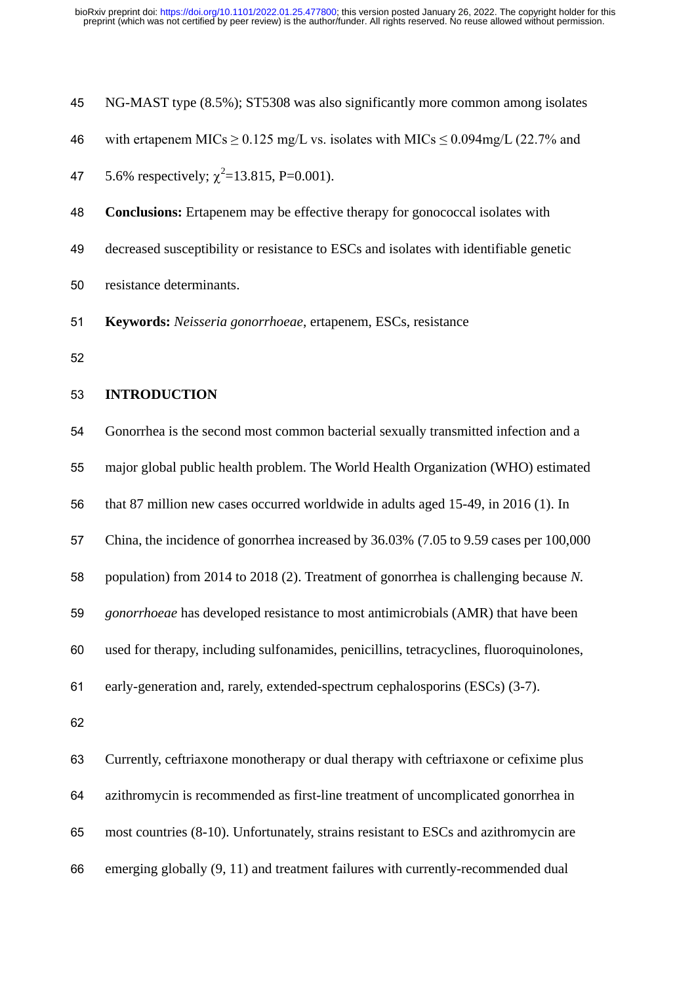| 45 | NG-MAST type (8.5%); ST5308 was also significantly more common among isolates            |
|----|------------------------------------------------------------------------------------------|
| 46 | with ertapenem MICs $\geq$ 0.125 mg/L vs. isolates with MICs $\leq$ 0.094mg/L (22.7% and |
| 47 | 5.6% respectively; $\chi^2$ =13.815, P=0.001).                                           |
| 48 | <b>Conclusions:</b> Ertapenem may be effective therapy for gonococcal isolates with      |
| 49 | decreased susceptibility or resistance to ESCs and isolates with identifiable genetic    |
| 50 | resistance determinants.                                                                 |
| 51 | Keywords: Neisseria gonorrhoeae, ertapenem, ESCs, resistance                             |
| 52 |                                                                                          |
| 53 | <b>INTRODUCTION</b>                                                                      |
| 54 | Gonorrhea is the second most common bacterial sexually transmitted infection and a       |
| 55 | major global public health problem. The World Health Organization (WHO) estimated        |
| 56 | that 87 million new cases occurred worldwide in adults aged 15-49, in 2016 (1). In       |
| 57 | China, the incidence of gonorrhea increased by 36.03% (7.05 to 9.59 cases per 100,000    |
| 58 | population) from 2014 to 2018 (2). Treatment of gonorrhea is challenging because N.      |
| 59 | gonorrhoeae has developed resistance to most antimicrobials (AMR) that have been         |

used for therapy, including sulfonamides, penicillins, tetracyclines, fluoroquinolones,

early-generation and, rarely, extended-spectrum cephalosporins (ESCs) (3-7).

 Currently, ceftriaxone monotherapy or dual therapy with ceftriaxone or cefixime plus azithromycin is recommended as first-line treatment of uncomplicated gonorrhea in most countries (8-10). Unfortunately, strains resistant to ESCs and azithromycin are emerging globally (9, 11) and treatment failures with currently-recommended dual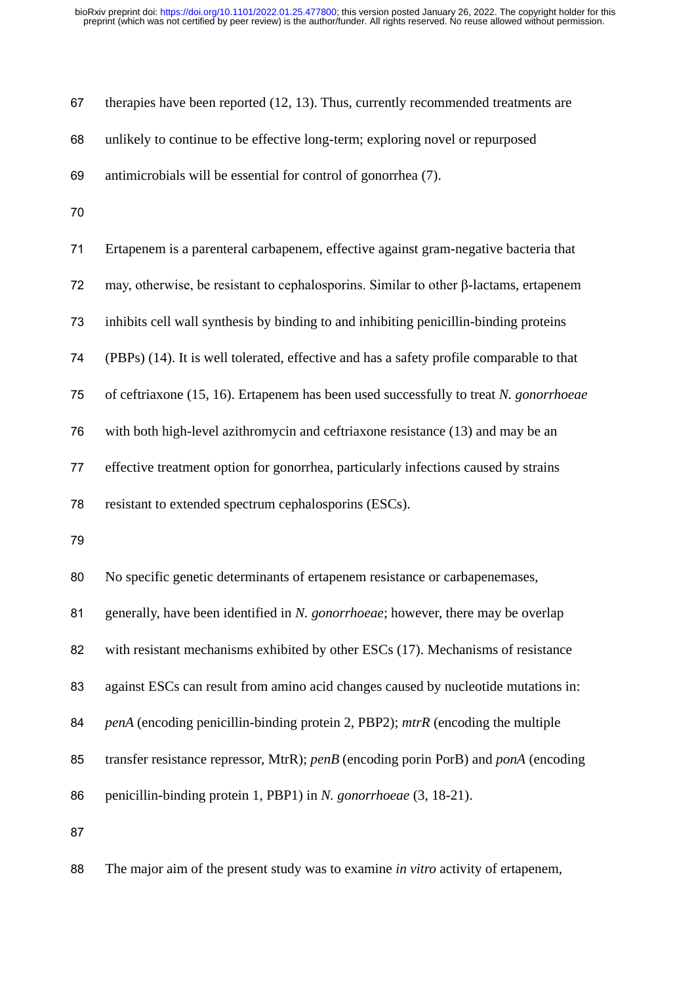| 67 | therapies have been reported (12, 13). Thus, currently recommended treatments are            |
|----|----------------------------------------------------------------------------------------------|
| 68 | unlikely to continue to be effective long-term; exploring novel or repurposed                |
| 69 | antimicrobials will be essential for control of gonorrhea (7).                               |
| 70 |                                                                                              |
| 71 | Ertapenem is a parenteral carbapenem, effective against gram-negative bacteria that          |
| 72 | may, otherwise, be resistant to cephalosporins. Similar to other $\beta$ -lactams, ertapenem |
| 73 | inhibits cell wall synthesis by binding to and inhibiting penicillin-binding proteins        |
| 74 | (PBPs) (14). It is well tolerated, effective and has a safety profile comparable to that     |
| 75 | of ceftriaxone (15, 16). Ertapenem has been used successfully to treat N. gonorrhoeae        |
| 76 | with both high-level azithromycin and ceftriaxone resistance (13) and may be an              |
| 77 | effective treatment option for gonorrhea, particularly infections caused by strains          |
| 78 | resistant to extended spectrum cephalosporins (ESCs).                                        |
| 79 |                                                                                              |
| 80 |                                                                                              |
|    | No specific genetic determinants of ertapenem resistance or carbapenemases,                  |
| 81 | generally, have been identified in N. gonorrhoeae; however, there may be overlap             |
| 82 | with resistant mechanisms exhibited by other ESCs (17). Mechanisms of resistance             |
| 83 | against ESCs can result from amino acid changes caused by nucleotide mutations in:           |
| 84 | <i>penA</i> (encoding penicillin-binding protein 2, PBP2); mtrR (encoding the multiple       |
| 85 | transfer resistance repressor, MtrR); penB (encoding porin PorB) and ponA (encoding          |
| 86 | penicillin-binding protein 1, PBP1) in N. gonorrhoeae (3, 18-21).                            |
| 87 |                                                                                              |

The major aim of the present study was to examine *in vitro* activity of ertapenem,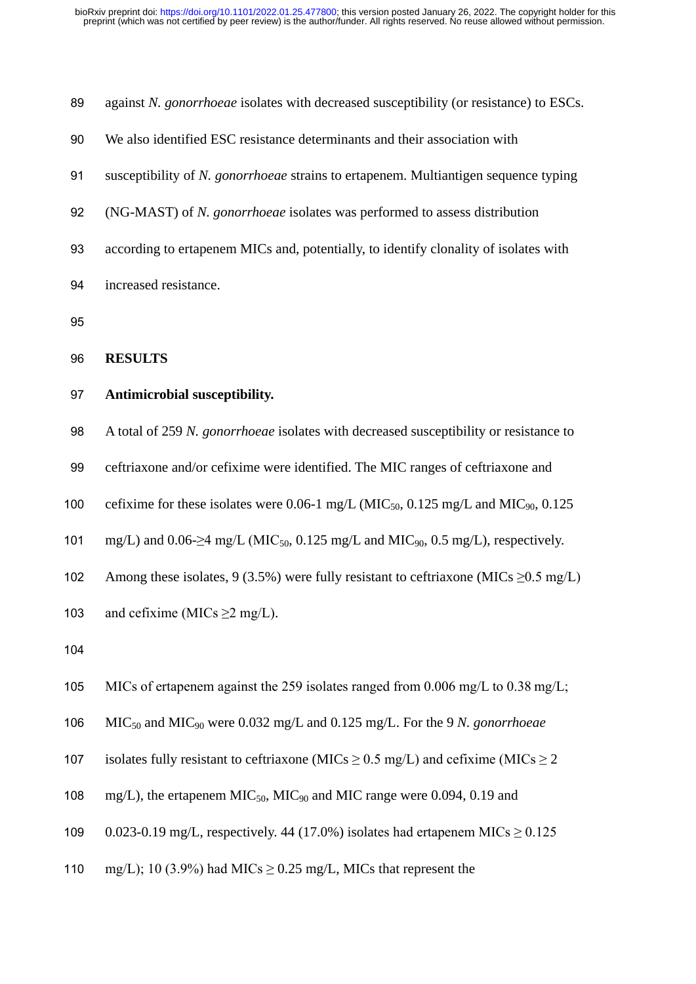| 89  | against N. gonorrhoeae isolates with decreased susceptibility (or resistance) to ESCs.                         |
|-----|----------------------------------------------------------------------------------------------------------------|
| 90  | We also identified ESC resistance determinants and their association with                                      |
| 91  | susceptibility of N. gonorrhoeae strains to ertapenem. Multiantigen sequence typing                            |
| 92  | (NG-MAST) of N. gonorrhoeae isolates was performed to assess distribution                                      |
| 93  | according to ertapenem MICs and, potentially, to identify clonality of isolates with                           |
| 94  | increased resistance.                                                                                          |
| 95  |                                                                                                                |
| 96  | <b>RESULTS</b>                                                                                                 |
| 97  | Antimicrobial susceptibility.                                                                                  |
| 98  | A total of 259 N. gonorrhoeae isolates with decreased susceptibility or resistance to                          |
| 99  | ceftriaxone and/or cefixime were identified. The MIC ranges of ceftriaxone and                                 |
| 100 | cefixime for these isolates were 0.06-1 mg/L (MIC <sub>50</sub> , 0.125 mg/L and MIC <sub>90</sub> , 0.125     |
| 101 | mg/L) and 0.06- $\geq$ 4 mg/L (MIC <sub>50</sub> , 0.125 mg/L and MIC <sub>90</sub> , 0.5 mg/L), respectively. |
| 102 | Among these isolates, 9 (3.5%) were fully resistant to ceftriaxone (MICs $\geq 0.5$ mg/L)                      |
| 103 | and cefixime (MICs $\geq$ 2 mg/L).                                                                             |
| 104 |                                                                                                                |
| 105 | MICs of ertapenem against the 259 isolates ranged from 0.006 mg/L to $0.38$ mg/L;                              |
| 106 | $MIC50$ and $MIC90$ were 0.032 mg/L and 0.125 mg/L. For the 9 N. gonorrhoeae                                   |
| 107 | isolates fully resistant to ceftriaxone (MICs $\geq$ 0.5 mg/L) and cefixime (MICs $\geq$ 2                     |
| 108 | mg/L), the ertapenem $MIC50$ , MIC <sub>90</sub> and MIC range were 0.094, 0.19 and                            |
| 109 | 0.023-0.19 mg/L, respectively. 44 (17.0%) isolates had ertapenem MICs $\geq$ 0.125                             |
| 110 | mg/L); 10 (3.9%) had MICs $\geq$ 0.25 mg/L, MICs that represent the                                            |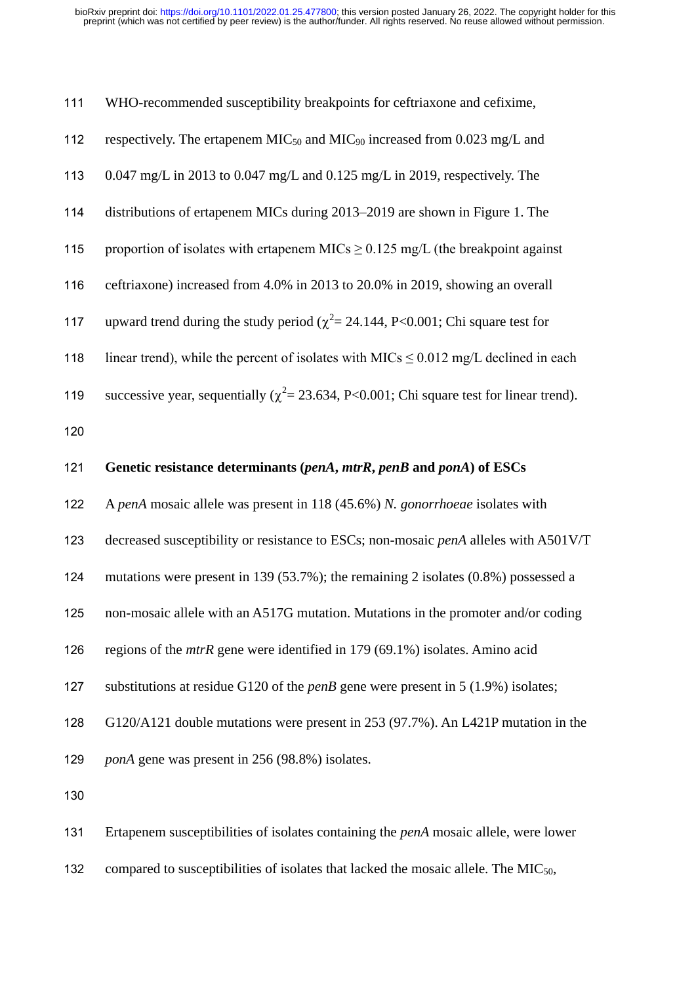| 111 | WHO-recommended susceptibility breakpoints for ceftriaxone and cefixime,                       |
|-----|------------------------------------------------------------------------------------------------|
| 112 | respectively. The ertapenem $MIC50$ and $MIC90$ increased from 0.023 mg/L and                  |
| 113 | $0.047$ mg/L in 2013 to 0.047 mg/L and 0.125 mg/L in 2019, respectively. The                   |
| 114 | distributions of ertapenem MICs during 2013–2019 are shown in Figure 1. The                    |
| 115 | proportion of isolates with ertapenem MICs $\geq$ 0.125 mg/L (the breakpoint against           |
| 116 | ceftriaxone) increased from 4.0% in 2013 to 20.0% in 2019, showing an overall                  |
| 117 | upward trend during the study period ( $\chi^2$ = 24.144, P<0.001; Chi square test for         |
| 118 | linear trend), while the percent of isolates with MICs $\leq 0.012$ mg/L declined in each      |
| 119 | successive year, sequentially ( $\chi^2$ = 23.634, P<0.001; Chi square test for linear trend). |
| 120 |                                                                                                |
| 121 | Genetic resistance determinants (penA, mtrR, penB and ponA) of ESCs                            |
|     |                                                                                                |
| 122 | A penA mosaic allele was present in 118 (45.6%) N. gonorrhoeae isolates with                   |
| 123 | decreased susceptibility or resistance to ESCs; non-mosaic penA alleles with A501V/T           |
| 124 | mutations were present in 139 (53.7%); the remaining 2 isolates $(0.8\%)$ possessed a          |
| 125 | non-mosaic allele with an A517G mutation. Mutations in the promoter and/or coding              |
| 126 | regions of the $mtrR$ gene were identified in 179 (69.1%) isolates. Amino acid                 |
| 127 | substitutions at residue G120 of the <i>penB</i> gene were present in $5(1.9\%)$ isolates;     |
| 128 | G120/A121 double mutations were present in 253 (97.7%). An L421P mutation in the               |
| 129 | <i>ponA</i> gene was present in 256 (98.8%) isolates.                                          |
| 130 |                                                                                                |
| 131 | Ertapenem susceptibilities of isolates containing the <i>penA</i> mosaic allele, were lower    |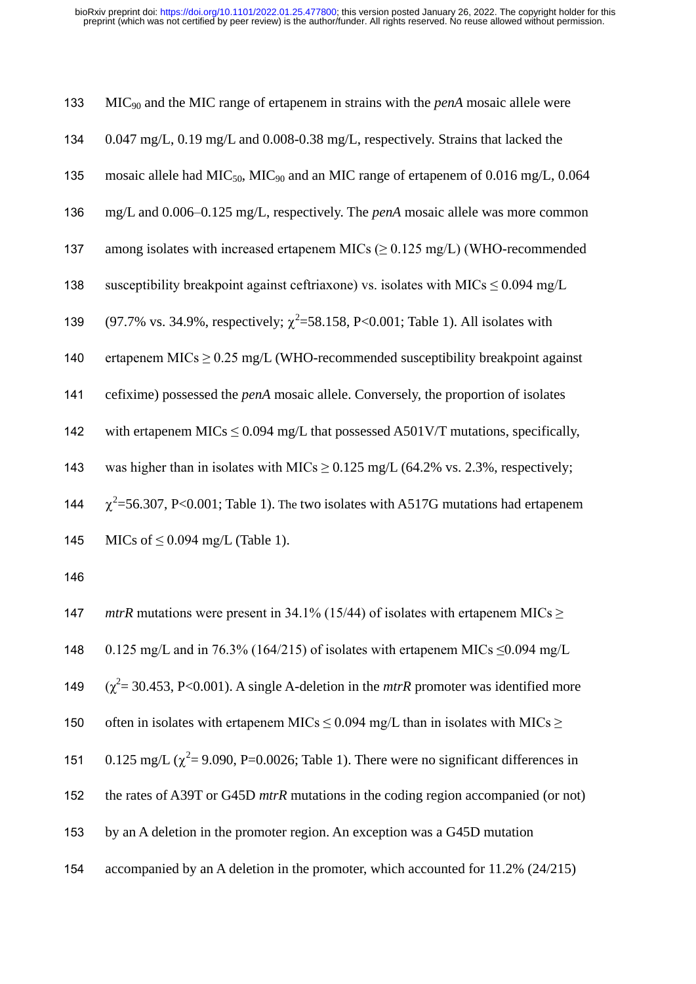| 133 | $MIC90$ and the MIC range of ertapenem in strains with the <i>penA</i> mosaic allele were                  |
|-----|------------------------------------------------------------------------------------------------------------|
| 134 | $0.047$ mg/L, $0.19$ mg/L and $0.008$ -0.38 mg/L, respectively. Strains that lacked the                    |
| 135 | mosaic allele had MIC <sub>50</sub> , MIC <sub>90</sub> and an MIC range of ertapenem of 0.016 mg/L, 0.064 |
| 136 | mg/L and 0.006-0.125 mg/L, respectively. The penA mosaic allele was more common                            |
| 137 | among isolates with increased ertapenem MICs $(\geq 0.125 \text{ mg/L})$ (WHO-recommended                  |
| 138 | susceptibility breakpoint against ceftriaxone) vs. isolates with MICs $\leq 0.094$ mg/L                    |
| 139 | (97.7% vs. 34.9%, respectively; $\chi^2$ =58.158, P<0.001; Table 1). All isolates with                     |
| 140 | ertapenem MICs $\geq$ 0.25 mg/L (WHO-recommended susceptibility breakpoint against                         |
| 141 | cefixime) possessed the <i>penA</i> mosaic allele. Conversely, the proportion of isolates                  |
| 142 | with ertapenem MICs $\leq$ 0.094 mg/L that possessed A501V/T mutations, specifically,                      |
| 143 | was higher than in isolates with MICs $\geq$ 0.125 mg/L (64.2% vs. 2.3%, respectively;                     |
| 144 | $\chi^2$ =56.307, P<0.001; Table 1). The two isolates with A517G mutations had ertapenem                   |
| 145 | MICs of $\leq$ 0.094 mg/L (Table 1).                                                                       |
| 146 |                                                                                                            |
| 147 | <i>mtrR</i> mutations were present in 34.1% (15/44) of isolates with ertapenem MICs $\geq$                 |
| 148 | 0.125 mg/L and in 76.3% (164/215) of isolates with ertapenem MICs $\leq$ 0.094 mg/L                        |
| 149 | $(\chi^2 = 30.453, P < 0.001)$ . A single A-deletion in the <i>mtrR</i> promoter was identified more       |
| 150 | often in isolates with ertapenem MICs $\leq$ 0.094 mg/L than in isolates with MICs $\geq$                  |
| 151 | 0.125 mg/L ( $\chi^2$ = 9.090, P=0.0026; Table 1). There were no significant differences in                |
| 152 | the rates of A39T or G45D mtrR mutations in the coding region accompanied (or not)                         |
| 153 | by an A deletion in the promoter region. An exception was a G45D mutation                                  |

accompanied by an A deletion in the promoter, which accounted for 11.2% (24/215)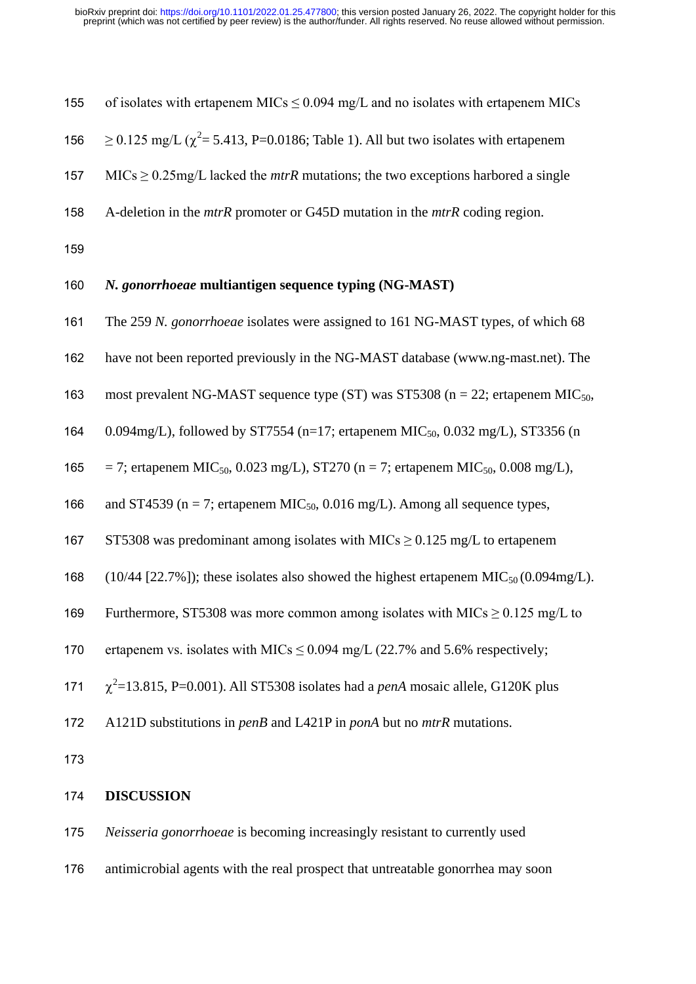| 155 | of isolates with ertapenem MICs $\leq$ 0.094 mg/L and no isolates with ertapenem MICs                      |
|-----|------------------------------------------------------------------------------------------------------------|
| 156 | $\geq$ 0.125 mg/L ( $\chi^2$ = 5.413, P=0.0186; Table 1). All but two isolates with ertapenem              |
| 157 | $MICs \geq 0.25$ mg/L lacked the <i>mtrR</i> mutations; the two exceptions harbored a single               |
| 158 | A-deletion in the $mtrR$ promoter or G45D mutation in the $mtrR$ coding region.                            |
| 159 |                                                                                                            |
| 160 | N. gonorrhoeae multiantigen sequence typing (NG-MAST)                                                      |
| 161 | The 259 N. gonorrhoeae isolates were assigned to 161 NG-MAST types, of which 68                            |
| 162 | have not been reported previously in the NG-MAST database (www.ng-mast.net). The                           |
| 163 | most prevalent NG-MAST sequence type (ST) was ST5308 ( $n = 22$ ; ertapenem MIC <sub>50</sub> ,            |
| 164 | 0.094mg/L), followed by ST7554 (n=17; ertapenem MIC <sub>50</sub> , 0.032 mg/L), ST3356 (n                 |
| 165 | $=$ 7; ertapenem MIC <sub>50</sub> , 0.023 mg/L), ST270 (n = 7; ertapenem MIC <sub>50</sub> , 0.008 mg/L), |
| 166 | and ST4539 ( $n = 7$ ; ertapenem MIC <sub>50</sub> , 0.016 mg/L). Among all sequence types,                |
| 167 | ST5308 was predominant among isolates with MICs $\geq$ 0.125 mg/L to ertapenem                             |
| 168 | $(10/44 [22.7\%])$ ; these isolates also showed the highest ertapenem MIC <sub>50</sub> $(0.094mg/L)$ .    |
| 169 | Furthermore, ST5308 was more common among isolates with MICs $\geq 0.125$ mg/L to                          |
| 170 | ertapenem vs. isolates with MICs $\leq$ 0.094 mg/L (22.7% and 5.6% respectively;                           |
| 171 | $\chi^2$ =13.815, P=0.001). All ST5308 isolates had a <i>penA</i> mosaic allele, G120K plus                |
| 172 | A121D substitutions in penB and L421P in ponA but no mtrR mutations.                                       |
| 173 |                                                                                                            |

# 174 **DISCUSSION**

175 *Neisseria gonorrhoeae* is becoming increasingly resistant to currently used

176 antimicrobial agents with the real prospect that untreatable gonorrhea may soon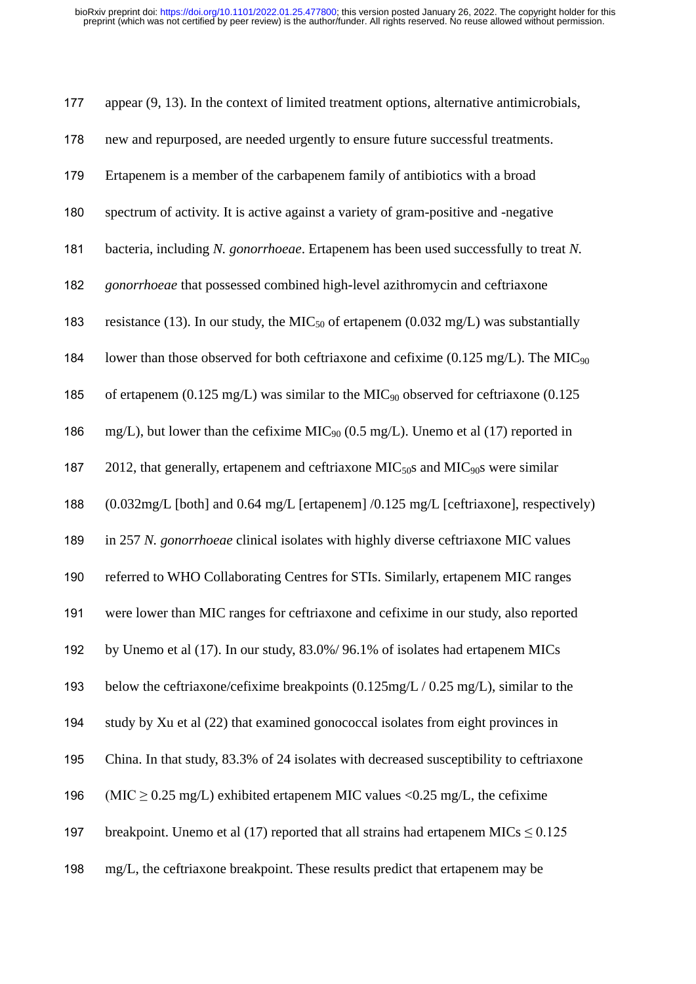| 177 | appear $(9, 13)$ . In the context of limited treatment options, alternative antimicrobials,     |
|-----|-------------------------------------------------------------------------------------------------|
| 178 | new and repurposed, are needed urgently to ensure future successful treatments.                 |
| 179 | Ertapenem is a member of the carbapenem family of antibiotics with a broad                      |
| 180 | spectrum of activity. It is active against a variety of gram-positive and -negative             |
| 181 | bacteria, including N. gonorrhoeae. Ertapenem has been used successfully to treat N.            |
| 182 | gonorrhoeae that possessed combined high-level azithromycin and ceftriaxone                     |
| 183 | resistance (13). In our study, the $MIC50$ of ertapenem (0.032 mg/L) was substantially          |
| 184 | lower than those observed for both ceftriaxone and cefixime (0.125 mg/L). The MIC <sub>90</sub> |
| 185 | of ertapenem (0.125 mg/L) was similar to the MIC <sub>90</sub> observed for ceftriaxone (0.125  |
| 186 | mg/L), but lower than the cefixime MIC <sub>90</sub> (0.5 mg/L). Unemo et al (17) reported in   |
| 187 | 2012, that generally, ertapenem and ceftriaxone $MIC50S$ and $MIC90S$ were similar              |
| 188 | (0.032mg/L [both] and 0.64 mg/L [ertapenem] /0.125 mg/L [ceftriaxone], respectively)            |
| 189 | in 257 N. gonorrhoeae clinical isolates with highly diverse ceftriaxone MIC values              |
| 190 | referred to WHO Collaborating Centres for STIs. Similarly, ertapenem MIC ranges                 |
| 191 | were lower than MIC ranges for ceftriaxone and cefixime in our study, also reported             |
| 192 | by Unemo et al (17). In our study, 83.0%/96.1% of isolates had ertapenem MICs                   |
| 193 | below the ceftriaxone/cefixime breakpoints $(0.125mg/L / 0.25mg/L)$ , similar to the            |
| 194 | study by Xu et al (22) that examined gonococcal isolates from eight provinces in                |
| 195 | China. In that study, 83.3% of 24 isolates with decreased susceptibility to ceftriaxone         |
| 196 | (MIC $\geq$ 0.25 mg/L) exhibited ertapenem MIC values < 0.25 mg/L, the cefixime                 |
| 197 | breakpoint. Unemo et al (17) reported that all strains had ertapenem MICs $\leq 0.125$          |
| 198 | mg/L, the ceftriaxone breakpoint. These results predict that ertapenem may be                   |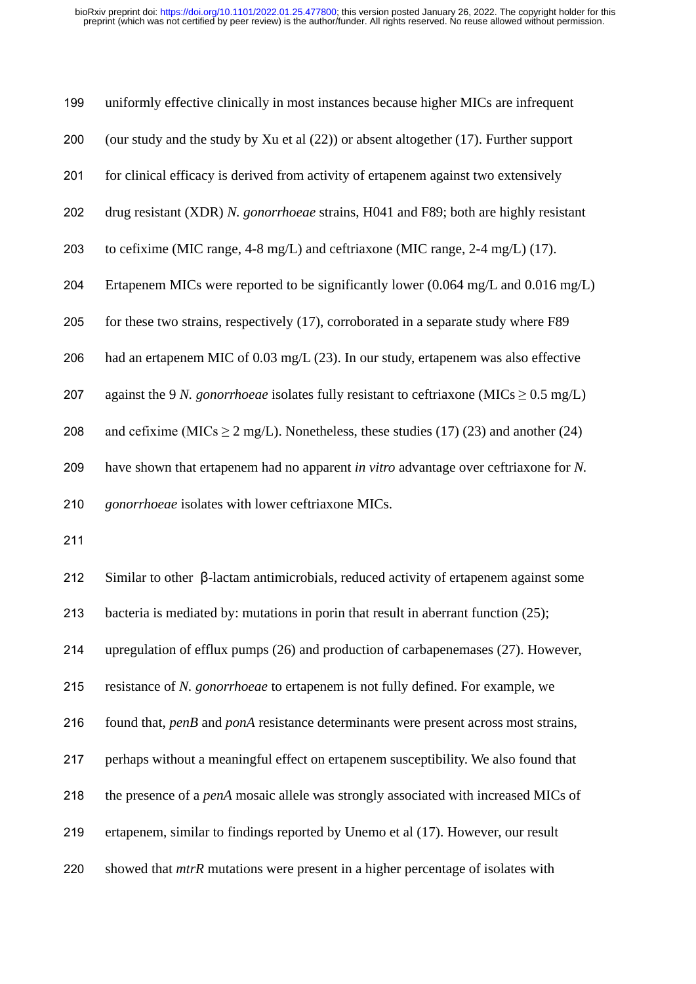| 199 | uniformly effective clinically in most instances because higher MICs are infrequent                           |
|-----|---------------------------------------------------------------------------------------------------------------|
| 200 | (our study and the study by Xu et al $(22)$ ) or absent altogether $(17)$ . Further support                   |
| 201 | for clinical efficacy is derived from activity of ertapenem against two extensively                           |
| 202 | drug resistant (XDR) N. gonorrhoeae strains, H041 and F89; both are highly resistant                          |
| 203 | to cefixime (MIC range, 4-8 mg/L) and ceftriaxone (MIC range, 2-4 mg/L) (17).                                 |
| 204 | Ertapenem MICs were reported to be significantly lower $(0.064 \text{ mg/L} \text{ and } 0.016 \text{ mg/L})$ |
| 205 | for these two strains, respectively (17), corroborated in a separate study where F89                          |
| 206 | had an ertapenem MIC of 0.03 mg/L (23). In our study, ertapenem was also effective                            |
| 207 | against the 9 N. gonorrhoeae isolates fully resistant to ceftriaxone (MICs $\geq$ 0.5 mg/L)                   |
| 208 | and cefixime (MICs $\geq$ 2 mg/L). Nonetheless, these studies (17) (23) and another (24)                      |
| 209 | have shown that ertapenem had no apparent in vitro advantage over ceftriaxone for N.                          |
| 210 | gonorrhoeae isolates with lower ceftriaxone MICs.                                                             |
| 211 |                                                                                                               |
| 212 | Similar to other $\beta$ -lactam antimicrobials, reduced activity of ertapenem against some                   |
| 213 | bacteria is mediated by: mutations in porin that result in aberrant function $(25)$ ;                         |
| 214 | upregulation of efflux pumps (26) and production of carbapenemases (27). However,                             |
| 215 | resistance of N. gonorrhoeae to ertapenem is not fully defined. For example, we                               |
| 216 | found that, penB and ponA resistance determinants were present across most strains,                           |

 perhaps without a meaningful effect on ertapenem susceptibility. We also found that the presence of a *penA* mosaic allele was strongly associated with increased MICs of

- ertapenem, similar to findings reported by Unemo et al (17). However, our result
- showed that *mtrR* mutations were present in a higher percentage of isolates with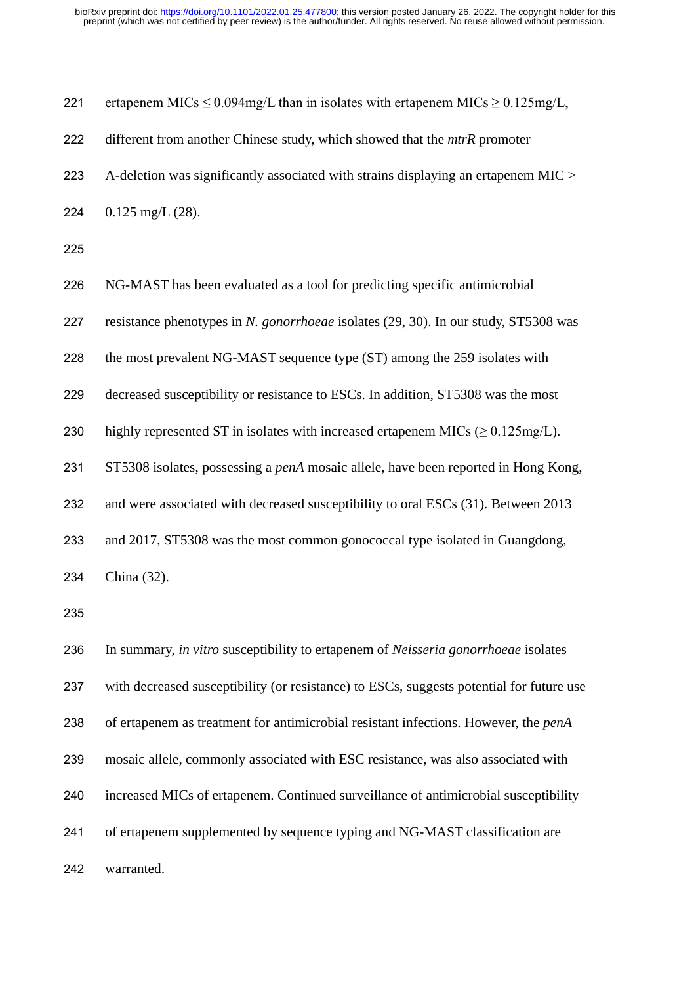| 221 | ertapenem MICs $\leq$ 0.094mg/L than in isolates with ertapenem MICs $\geq$ 0.125mg/L,    |
|-----|-------------------------------------------------------------------------------------------|
| 222 | different from another Chinese study, which showed that the mtrR promoter                 |
| 223 | A-deletion was significantly associated with strains displaying an ertapenem MIC >        |
| 224 | $0.125$ mg/L $(28)$ .                                                                     |
| 225 |                                                                                           |
| 226 | NG-MAST has been evaluated as a tool for predicting specific antimicrobial                |
| 227 | resistance phenotypes in N. gonorrhoeae isolates (29, 30). In our study, ST5308 was       |
| 228 | the most prevalent NG-MAST sequence type (ST) among the 259 isolates with                 |
| 229 | decreased susceptibility or resistance to ESCs. In addition, ST5308 was the most          |
| 230 | highly represented ST in isolates with increased ertapenem MICs ( $\geq 0.125$ mg/L).     |
| 231 | ST5308 isolates, possessing a <i>penA</i> mosaic allele, have been reported in Hong Kong, |
| 232 | and were associated with decreased susceptibility to oral ESCs (31). Between 2013         |
| 233 | and 2017, ST5308 was the most common gonococcal type isolated in Guangdong,               |
| 234 | China (32).                                                                               |
| 235 |                                                                                           |
| 236 | In summary, in vitro susceptibility to ertapenem of Neisseria gonorrhoeae isolates        |
| 237 | with decreased susceptibility (or resistance) to ESCs, suggests potential for future use  |
| 238 | of ertapenem as treatment for antimicrobial resistant infections. However, the penA       |
| 239 | mosaic allele, commonly associated with ESC resistance, was also associated with          |
| 240 | increased MICs of ertapenem. Continued surveillance of antimicrobial susceptibility       |
| 241 | of ertapenem supplemented by sequence typing and NG-MAST classification are               |
| 242 | warranted.                                                                                |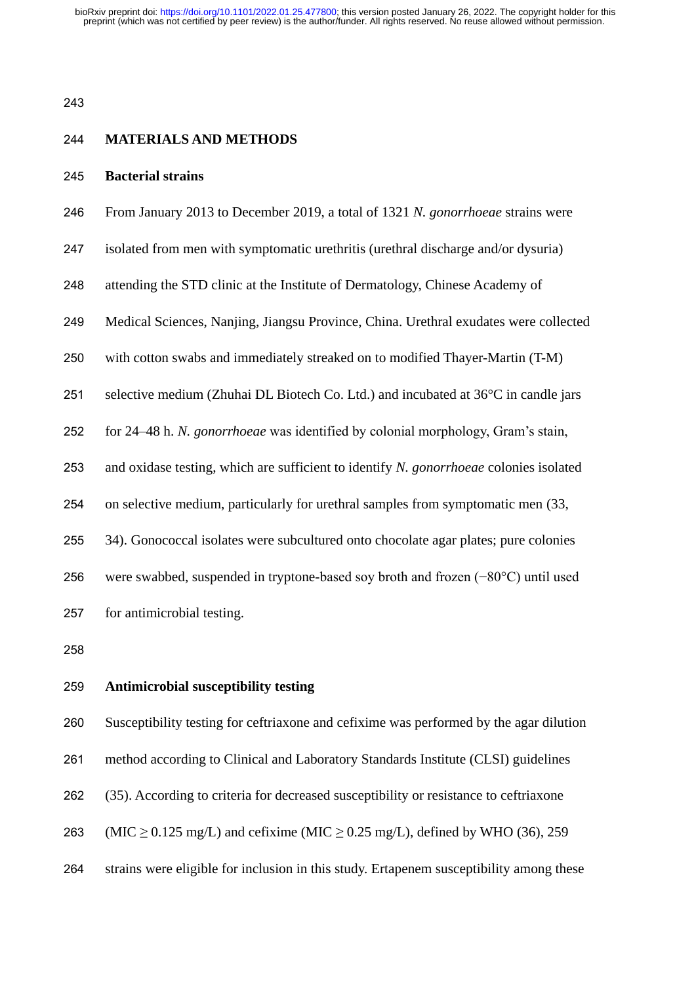#### **MATERIALS AND METHODS**

#### **Bacterial strains**

- From January 2013 to December 2019, a total of 1321 *N. gonorrhoeae* strains were
- isolated from men with symptomatic urethritis (urethral discharge and/or dysuria)
- attending the STD clinic at the Institute of Dermatology, Chinese Academy of
- Medical Sciences, Nanjing, Jiangsu Province, China. Urethral exudates were collected
- with cotton swabs and immediately streaked on to modified Thayer-Martin (T-M)
- selective medium (Zhuhai DL Biotech Co. Ltd.) and incubated at 36°C in candle jars
- for 24–48 h. *N. gonorrhoeae* was identified by colonial morphology, Gram's stain,
- and oxidase testing, which are sufficient to identify *N. gonorrhoeae* colonies isolated
- on selective medium, particularly for urethral samples from symptomatic men (33,
- 34). Gonococcal isolates were subcultured onto chocolate agar plates; pure colonies
- were swabbed, suspended in tryptone-based soy broth and frozen (−80°C) until used

for antimicrobial testing.

### **Antimicrobial susceptibility testing**

Susceptibility testing for ceftriaxone and cefixime was performed by the agar dilution

method according to Clinical and Laboratory Standards Institute (CLSI) guidelines

- (35). According to criteria for decreased susceptibility or resistance to ceftriaxone
- 263 (MIC  $\geq$  0.125 mg/L) and cefixime (MIC  $\geq$  0.25 mg/L), defined by WHO (36), 259
- strains were eligible for inclusion in this study. Ertapenem susceptibility among these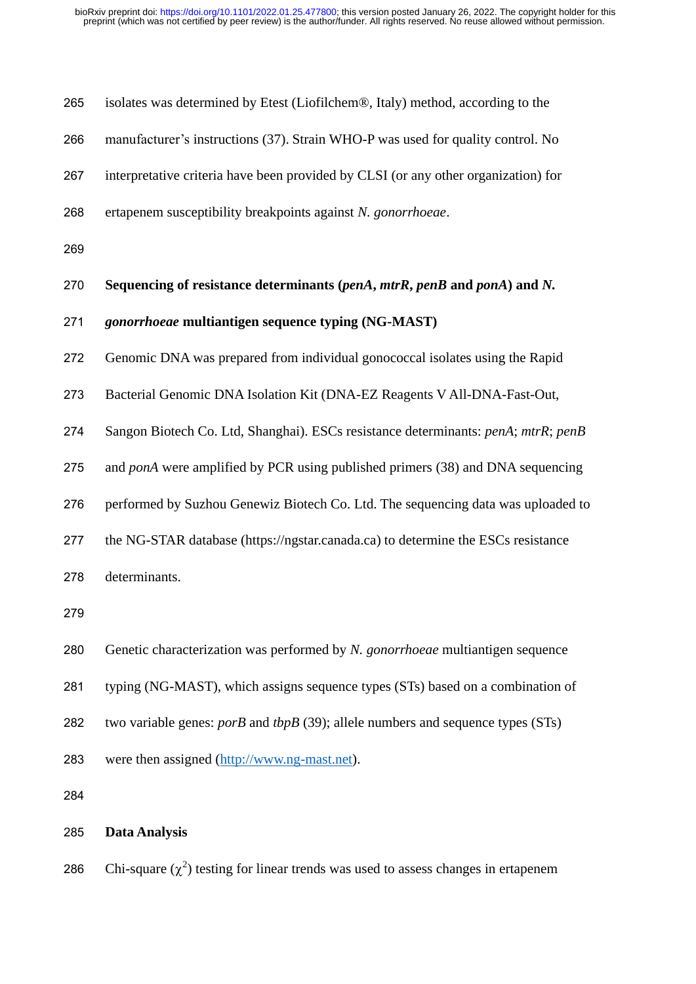| 265 | isolates was determined by Etest (Liofilchem®, Italy) method, according to the      |
|-----|-------------------------------------------------------------------------------------|
| 266 | manufacturer's instructions (37). Strain WHO-P was used for quality control. No     |
| 267 | interpretative criteria have been provided by CLSI (or any other organization) for  |
| 268 | ertapenem susceptibility breakpoints against N. gonorrhoeae.                        |
| 269 |                                                                                     |
| 270 | Sequencing of resistance determinants (penA, mtrR, penB and ponA) and N.            |
| 271 | gonorrhoeae multiantigen sequence typing (NG-MAST)                                  |
| 272 | Genomic DNA was prepared from individual gonococcal isolates using the Rapid        |
| 273 | Bacterial Genomic DNA Isolation Kit (DNA-EZ Reagents V All-DNA-Fast-Out,            |
| 274 | Sangon Biotech Co. Ltd, Shanghai). ESCs resistance determinants: penA; mtrR; penB   |
| 275 | and ponA were amplified by PCR using published primers (38) and DNA sequencing      |
| 276 | performed by Suzhou Genewiz Biotech Co. Ltd. The sequencing data was uploaded to    |
| 277 | the NG-STAR database (https://ngstar.canada.ca) to determine the ESCs resistance    |
| 278 | determinants.                                                                       |
| 279 |                                                                                     |
| 280 | Genetic characterization was performed by N. gonorrhoeae multiantigen sequence      |
| 281 | typing (NG-MAST), which assigns sequence types (STs) based on a combination of      |
| 282 | two variable genes: $porB$ and $tbpB$ (39); allele numbers and sequence types (STs) |
| 283 | were then assigned (http://www.ng-mast.net).                                        |
| 284 |                                                                                     |
| 285 | <b>Data Analysis</b>                                                                |

286 Chi-square  $(\chi^2)$  testing for linear trends was used to assess changes in ertapenem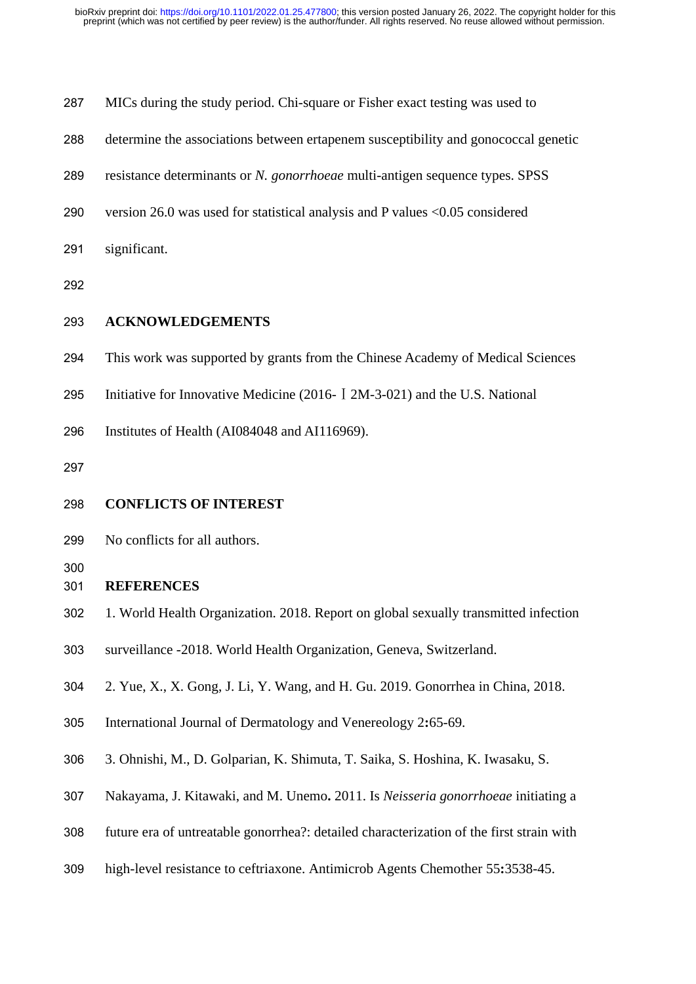| 287 | MICs during the study period. Chi-square or Fisher exact testing was used to       |
|-----|------------------------------------------------------------------------------------|
| 288 | determine the associations between ertapenem susceptibility and gonococcal genetic |
| 289 | resistance determinants or N. gonorrhoeae multi-antigen sequence types. SPSS       |
| 290 | version 26.0 was used for statistical analysis and P values $< 0.05$ considered    |
| 291 | significant.                                                                       |
| 292 |                                                                                    |
| 293 | <b>ACKNOWLEDGEMENTS</b>                                                            |

- This work was supported by grants from the Chinese Academy of Medical Sciences
- Initiative for Innovative Medicine (2016-Ⅰ2M-3-021) and the U.S. National

Institutes of Health (AI084048 and AI116969).

- **CONFLICTS OF INTEREST**
- No conflicts for all authors.
- 

## **REFERENCES**

- 1. World Health Organization. 2018. Report on global sexually transmitted infection
- surveillance -2018. World Health Organization, Geneva, Switzerland.
- 2. Yue, X., X. Gong, J. Li, Y. Wang, and H. Gu. 2019. Gonorrhea in China, 2018.
- International Journal of Dermatology and Venereology 2**:**65-69.
- 3. Ohnishi, M., D. Golparian, K. Shimuta, T. Saika, S. Hoshina, K. Iwasaku, S.
- Nakayama, J. Kitawaki, and M. Unemo**.** 2011. Is *Neisseria gonorrhoeae* initiating a
- future era of untreatable gonorrhea?: detailed characterization of the first strain with
- high-level resistance to ceftriaxone. Antimicrob Agents Chemother 55**:**3538-45.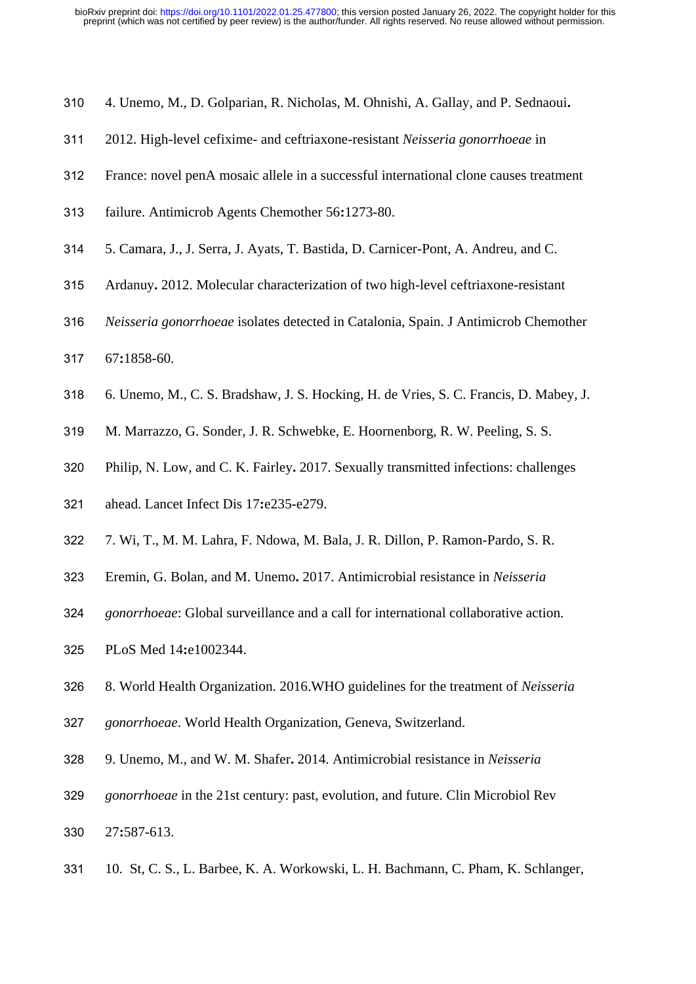- 4. Unemo, M., D. Golparian, R. Nicholas, M. Ohnishi, A. Gallay, and P. Sednaoui**.**
- 2012. High-level cefixime- and ceftriaxone-resistant *Neisseria gonorrhoeae* in
- France: novel penA mosaic allele in a successful international clone causes treatment
- failure. Antimicrob Agents Chemother 56**:**1273-80.
- 5. Camara, J., J. Serra, J. Ayats, T. Bastida, D. Carnicer-Pont, A. Andreu, and C.
- Ardanuy**.** 2012. Molecular characterization of two high-level ceftriaxone-resistant
- *Neisseria gonorrhoeae* isolates detected in Catalonia, Spain. J Antimicrob Chemother
- 67**:**1858-60.
- 6. Unemo, M., C. S. Bradshaw, J. S. Hocking, H. de Vries, S. C. Francis, D. Mabey, J.
- M. Marrazzo, G. Sonder, J. R. Schwebke, E. Hoornenborg, R. W. Peeling, S. S.
- Philip, N. Low, and C. K. Fairley**.** 2017. Sexually transmitted infections: challenges
- ahead. Lancet Infect Dis 17**:**e235-e279.
- 7. Wi, T., M. M. Lahra, F. Ndowa, M. Bala, J. R. Dillon, P. Ramon-Pardo, S. R.
- Eremin, G. Bolan, and M. Unemo**.** 2017. Antimicrobial resistance in *Neisseria*
- *gonorrhoeae*: Global surveillance and a call for international collaborative action.
- PLoS Med 14**:**e1002344.
- 8. World Health Organization. 2016.WHO guidelines for the treatment of *Neisseria*
- *gonorrhoeae*. World Health Organization, Geneva, Switzerland.
- 9. Unemo, M., and W. M. Shafer**.** 2014. Antimicrobial resistance in *Neisseria*
- *gonorrhoeae* in the 21st century: past, evolution, and future. Clin Microbiol Rev
- 27**:**587-613.
- 10. St, C. S., L. Barbee, K. A. Workowski, L. H. Bachmann, C. Pham, K. Schlanger,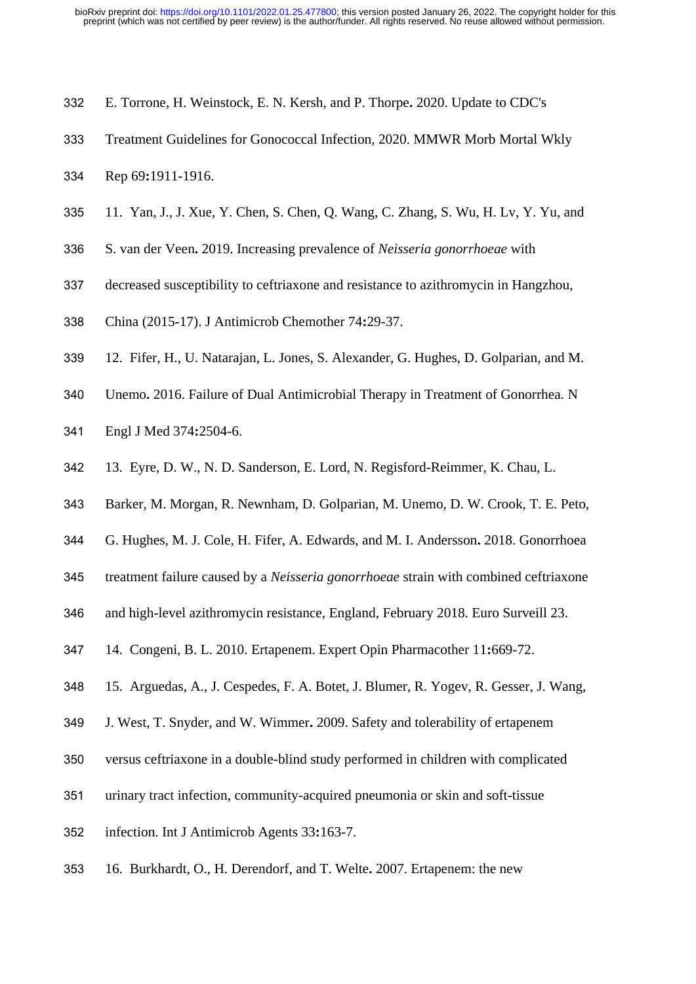- E. Torrone, H. Weinstock, E. N. Kersh, and P. Thorpe**.** 2020. Update to CDC's
- Treatment Guidelines for Gonococcal Infection, 2020. MMWR Morb Mortal Wkly
- Rep 69**:**1911-1916.
- 11. Yan, J., J. Xue, Y. Chen, S. Chen, Q. Wang, C. Zhang, S. Wu, H. Lv, Y. Yu, and
- S. van der Veen**.** 2019. Increasing prevalence of *Neisseria gonorrhoeae* with
- decreased susceptibility to ceftriaxone and resistance to azithromycin in Hangzhou,
- China (2015-17). J Antimicrob Chemother 74**:**29-37.
- 12. Fifer, H., U. Natarajan, L. Jones, S. Alexander, G. Hughes, D. Golparian, and M.
- Unemo**.** 2016. Failure of Dual Antimicrobial Therapy in Treatment of Gonorrhea. N
- Engl J Med 374**:**2504-6.
- 13. Eyre, D. W., N. D. Sanderson, E. Lord, N. Regisford-Reimmer, K. Chau, L.
- Barker, M. Morgan, R. Newnham, D. Golparian, M. Unemo, D. W. Crook, T. E. Peto,
- G. Hughes, M. J. Cole, H. Fifer, A. Edwards, and M. I. Andersson**.** 2018. Gonorrhoea
- treatment failure caused by a *Neisseria gonorrhoeae* strain with combined ceftriaxone
- and high-level azithromycin resistance, England, February 2018. Euro Surveill 23.
- 14. Congeni, B. L. 2010. Ertapenem. Expert Opin Pharmacother 11**:**669-72.
- 15. Arguedas, A., J. Cespedes, F. A. Botet, J. Blumer, R. Yogev, R. Gesser, J. Wang,
- J. West, T. Snyder, and W. Wimmer**.** 2009. Safety and tolerability of ertapenem
- versus ceftriaxone in a double-blind study performed in children with complicated
- urinary tract infection, community-acquired pneumonia or skin and soft-tissue
- infection. Int J Antimicrob Agents 33**:**163-7.
- 16. Burkhardt, O., H. Derendorf, and T. Welte**.** 2007. Ertapenem: the new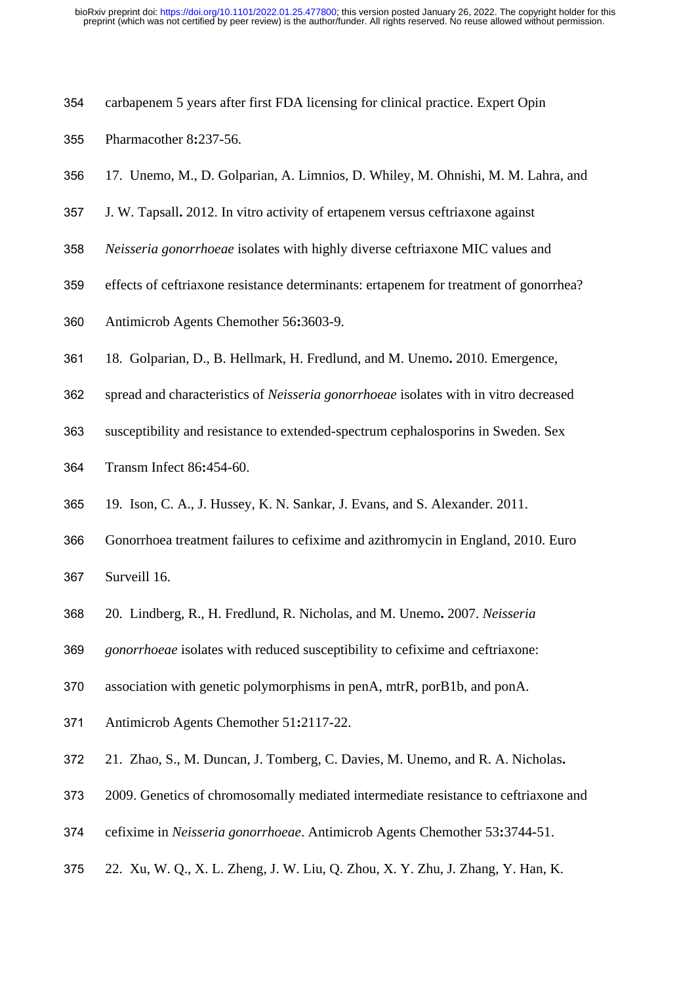- carbapenem 5 years after first FDA licensing for clinical practice. Expert Opin
- Pharmacother 8**:**237-56.
- 17. Unemo, M., D. Golparian, A. Limnios, D. Whiley, M. Ohnishi, M. M. Lahra, and
- J. W. Tapsall**.** 2012. In vitro activity of ertapenem versus ceftriaxone against
- *Neisseria gonorrhoeae* isolates with highly diverse ceftriaxone MIC values and
- effects of ceftriaxone resistance determinants: ertapenem for treatment of gonorrhea?
- Antimicrob Agents Chemother 56**:**3603-9.
- 18. Golparian, D., B. Hellmark, H. Fredlund, and M. Unemo**.** 2010. Emergence,
- spread and characteristics of *Neisseria gonorrhoeae* isolates with in vitro decreased
- susceptibility and resistance to extended-spectrum cephalosporins in Sweden. Sex
- Transm Infect 86**:**454-60.
- 19. Ison, C. A., J. Hussey, K. N. Sankar, J. Evans, and S. Alexander. 2011.
- Gonorrhoea treatment failures to cefixime and azithromycin in England, 2010. Euro

Surveill 16.

- 20. Lindberg, R., H. Fredlund, R. Nicholas, and M. Unemo**.** 2007. *Neisseria*
- *gonorrhoeae* isolates with reduced susceptibility to cefixime and ceftriaxone:
- association with genetic polymorphisms in penA, mtrR, porB1b, and ponA.
- Antimicrob Agents Chemother 51**:**2117-22.
- 21. Zhao, S., M. Duncan, J. Tomberg, C. Davies, M. Unemo, and R. A. Nicholas**.**
- 2009. Genetics of chromosomally mediated intermediate resistance to ceftriaxone and
- cefixime in *Neisseria gonorrhoeae*. Antimicrob Agents Chemother 53**:**3744-51.
- 22. Xu, W. Q., X. L. Zheng, J. W. Liu, Q. Zhou, X. Y. Zhu, J. Zhang, Y. Han, K.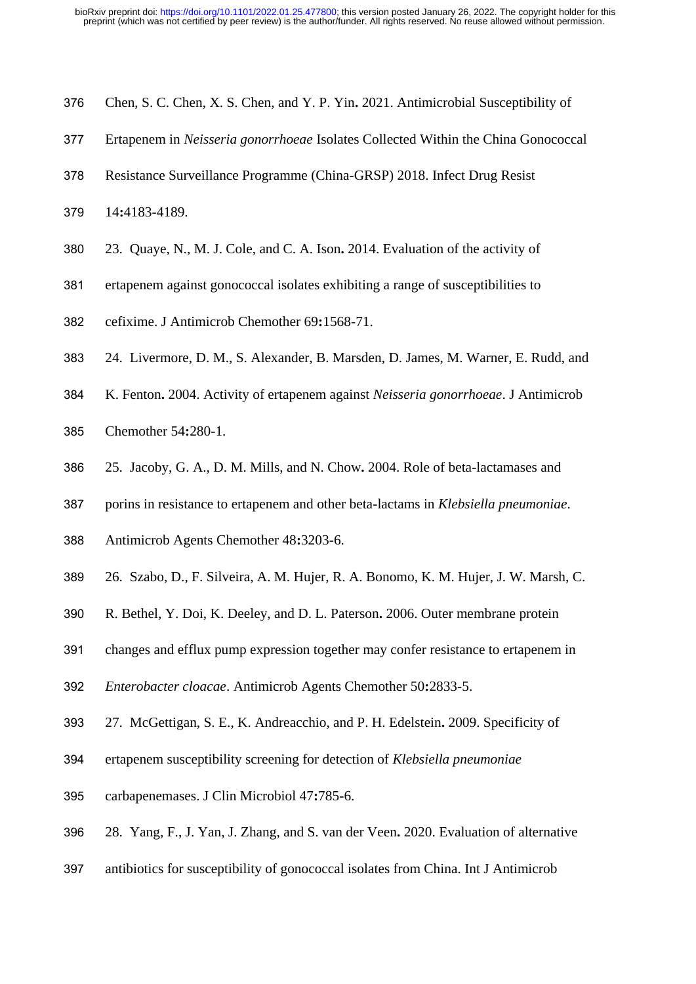- Chen, S. C. Chen, X. S. Chen, and Y. P. Yin**.** 2021. Antimicrobial Susceptibility of
- Ertapenem in *Neisseria gonorrhoeae* Isolates Collected Within the China Gonococcal
- Resistance Surveillance Programme (China-GRSP) 2018. Infect Drug Resist
- 14**:**4183-4189.
- 23. Quaye, N., M. J. Cole, and C. A. Ison**.** 2014. Evaluation of the activity of
- ertapenem against gonococcal isolates exhibiting a range of susceptibilities to
- cefixime. J Antimicrob Chemother 69**:**1568-71.
- 24. Livermore, D. M., S. Alexander, B. Marsden, D. James, M. Warner, E. Rudd, and
- K. Fenton**.** 2004. Activity of ertapenem against *Neisseria gonorrhoeae*. J Antimicrob
- Chemother 54**:**280-1.
- 25. Jacoby, G. A., D. M. Mills, and N. Chow**.** 2004. Role of beta-lactamases and
- porins in resistance to ertapenem and other beta-lactams in *Klebsiella pneumoniae*.
- Antimicrob Agents Chemother 48**:**3203-6.
- 26. Szabo, D., F. Silveira, A. M. Hujer, R. A. Bonomo, K. M. Hujer, J. W. Marsh, C.
- R. Bethel, Y. Doi, K. Deeley, and D. L. Paterson**.** 2006. Outer membrane protein
- changes and efflux pump expression together may confer resistance to ertapenem in
- *Enterobacter cloacae*. Antimicrob Agents Chemother 50**:**2833-5.
- 27. McGettigan, S. E., K. Andreacchio, and P. H. Edelstein**.** 2009. Specificity of
- ertapenem susceptibility screening for detection of *Klebsiella pneumoniae*
- carbapenemases. J Clin Microbiol 47**:**785-6.
- 28. Yang, F., J. Yan, J. Zhang, and S. van der Veen**.** 2020. Evaluation of alternative
- antibiotics for susceptibility of gonococcal isolates from China. Int J Antimicrob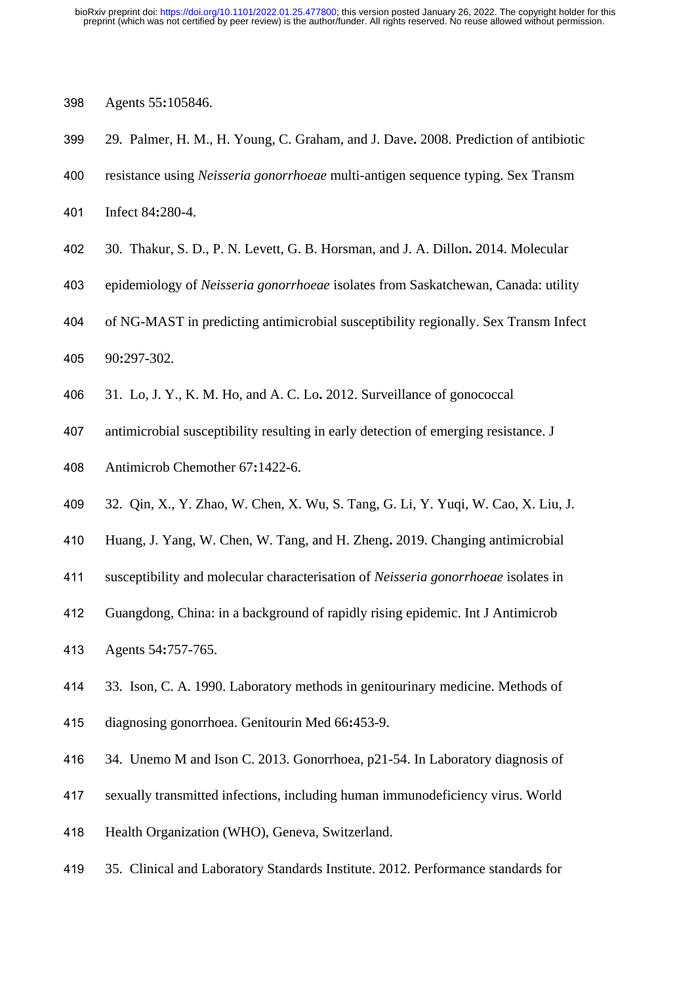- Agents 55**:**105846.
- 29. Palmer, H. M., H. Young, C. Graham, and J. Dave**.** 2008. Prediction of antibiotic
- resistance using *Neisseria gonorrhoeae* multi-antigen sequence typing. Sex Transm
- Infect 84**:**280-4.
- 30. Thakur, S. D., P. N. Levett, G. B. Horsman, and J. A. Dillon**.** 2014. Molecular
- epidemiology of *Neisseria gonorrhoeae* isolates from Saskatchewan, Canada: utility
- of NG-MAST in predicting antimicrobial susceptibility regionally. Sex Transm Infect
- 90**:**297-302.
- 31. Lo, J. Y., K. M. Ho, and A. C. Lo**.** 2012. Surveillance of gonococcal
- antimicrobial susceptibility resulting in early detection of emerging resistance. J
- Antimicrob Chemother 67**:**1422-6.
- 32. Qin, X., Y. Zhao, W. Chen, X. Wu, S. Tang, G. Li, Y. Yuqi, W. Cao, X. Liu, J.
- Huang, J. Yang, W. Chen, W. Tang, and H. Zheng**.** 2019. Changing antimicrobial
- susceptibility and molecular characterisation of *Neisseria gonorrhoeae* isolates in
- Guangdong, China: in a background of rapidly rising epidemic. Int J Antimicrob
- Agents 54**:**757-765.
- 33. Ison, C. A. 1990. Laboratory methods in genitourinary medicine. Methods of
- diagnosing gonorrhoea. Genitourin Med 66**:**453-9.
- 34. Unemo M and Ison C. 2013. Gonorrhoea, p21-54. In Laboratory diagnosis of
- sexually transmitted infections, including human immunodeficiency virus. World
- Health Organization (WHO), Geneva, Switzerland.
- 35. Clinical and Laboratory Standards Institute. 2012. Performance standards for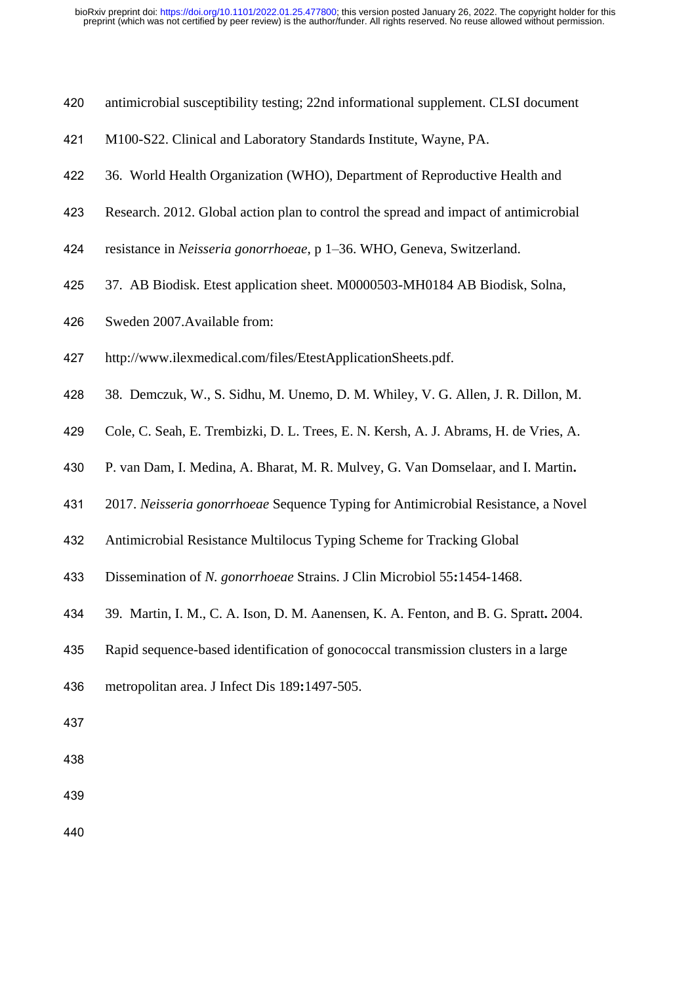- antimicrobial susceptibility testing; 22nd informational supplement. CLSI document
- M100-S22. Clinical and Laboratory Standards Institute, Wayne, PA.
- 36. World Health Organization (WHO), Department of Reproductive Health and
- Research. 2012. Global action plan to control the spread and impact of antimicrobial
- resistance in *Neisseria gonorrhoeae*, p 1–36. WHO, Geneva, Switzerland.
- 37. AB Biodisk. Etest application sheet. M0000503-MH0184 AB Biodisk, Solna,
- Sweden 2007.Available from:
- http://www.ilexmedical.com/files/EtestApplicationSheets.pdf.
- 38. Demczuk, W., S. Sidhu, M. Unemo, D. M. Whiley, V. G. Allen, J. R. Dillon, M.
- Cole, C. Seah, E. Trembizki, D. L. Trees, E. N. Kersh, A. J. Abrams, H. de Vries, A.
- P. van Dam, I. Medina, A. Bharat, M. R. Mulvey, G. Van Domselaar, and I. Martin**.**
- 2017. *Neisseria gonorrhoeae* Sequence Typing for Antimicrobial Resistance, a Novel
- Antimicrobial Resistance Multilocus Typing Scheme for Tracking Global
- Dissemination of *N. gonorrhoeae* Strains. J Clin Microbiol 55**:**1454-1468.
- 39. Martin, I. M., C. A. Ison, D. M. Aanensen, K. A. Fenton, and B. G. Spratt**.** 2004.
- Rapid sequence-based identification of gonococcal transmission clusters in a large
- metropolitan area. J Infect Dis 189**:**1497-505.
- 
- 
-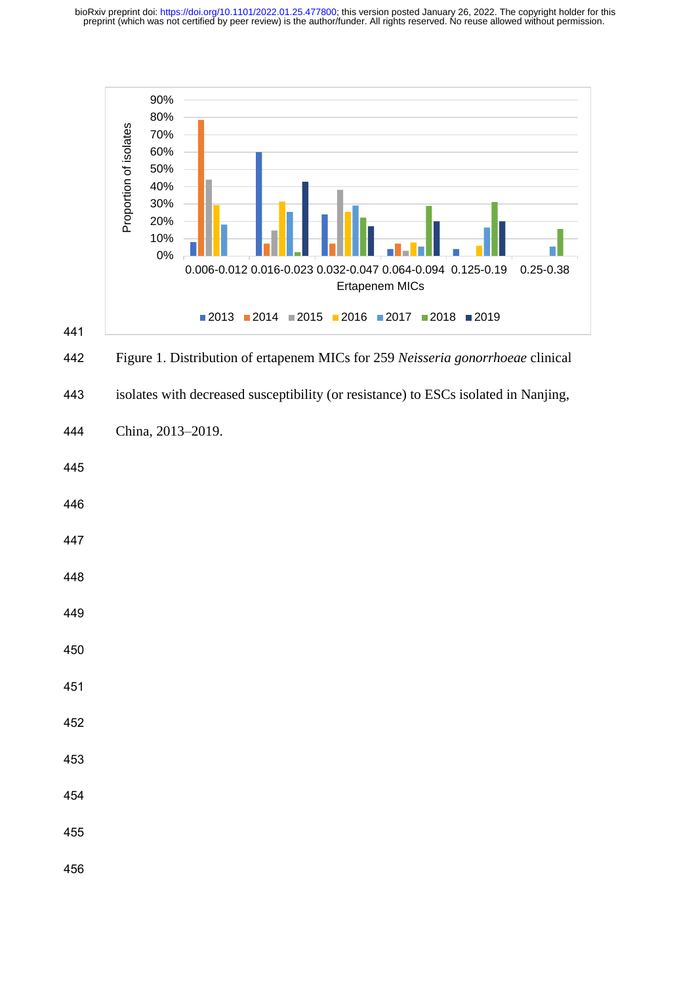preprint (which was not certified by peer review) is the author/funder. All rights reserved. No reuse allowed without permission. bioRxiv preprint doi: [https://doi.org/10.1101/2022.01.25.477800;](https://doi.org/10.1101/2022.01.25.477800) this version posted January 26, 2022. The copyright holder for this



442 Figure 1. Distribution of ertapenem MICs for 259 *Neisseria gonorrhoeae* clinical

443 isolates with decreased susceptibility (or resistance) to ESCs isolated in Nanjing,

444 China, 2013–2019.

- 445
- 446
- 447
- 448
- 449
- 
- 450
- 451
- 452
- 453
- 454
- 
- 455

456